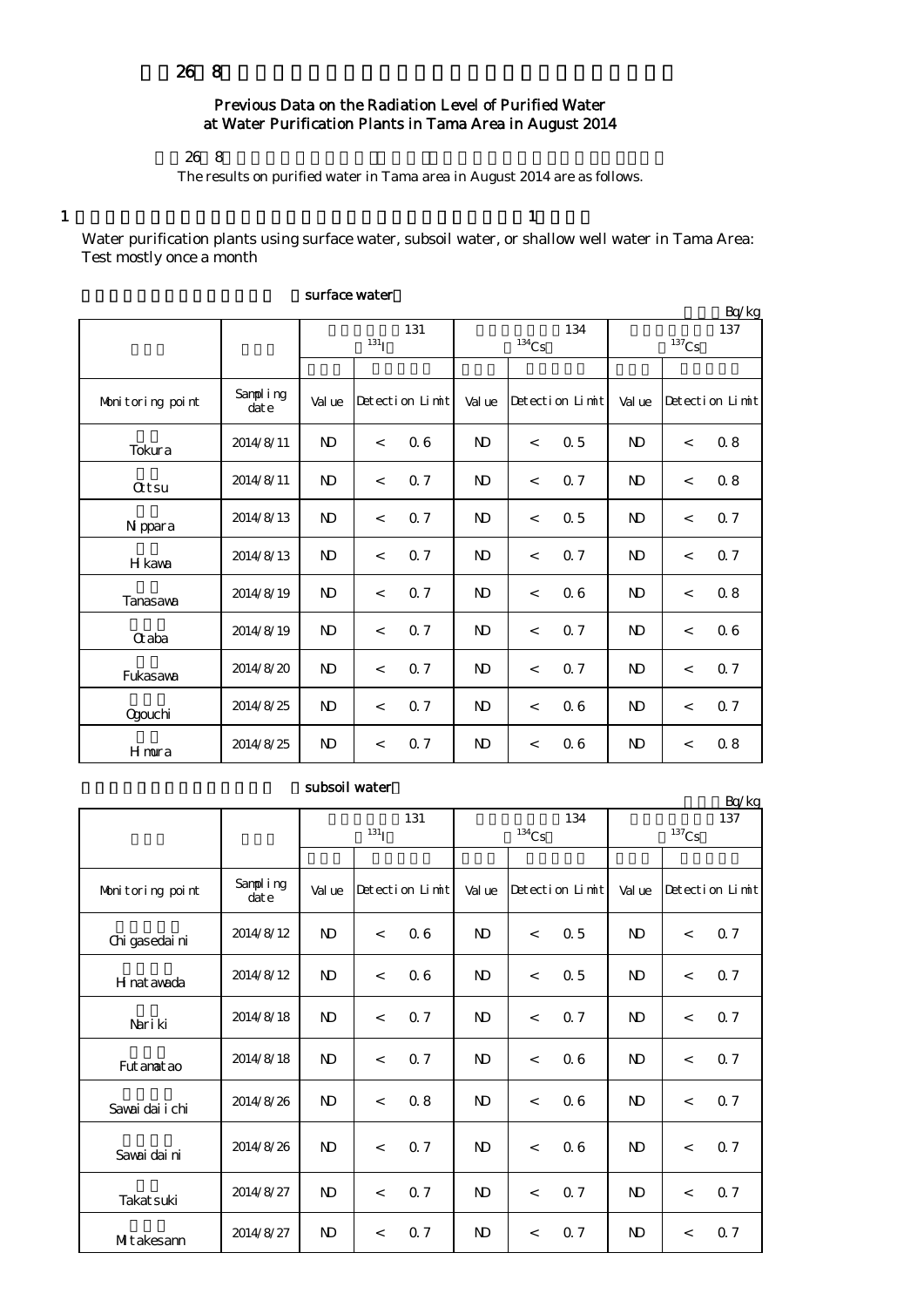## Previous Data on the Radiation Level of Purified Water at Water Purification Plants in Tama Area in August 2014

平成26年8月の多摩地区等の浄水(水道水)の放射能測定結果をお知らせします。

The results on purified water in Tama area in August 2014 are as follows.

 $1$  and  $1$ 

Water purification plants using surface water, subsoil water, or shallow well water in Tama Area: Test mostly once a month

|                  |                   |              |                          |     |                     |                          |                     |                |                          | Bq/kg |  |
|------------------|-------------------|--------------|--------------------------|-----|---------------------|--------------------------|---------------------|----------------|--------------------------|-------|--|
|                  |                   | 131          |                          |     |                     |                          | 134                 | 137            |                          |       |  |
|                  |                   |              | $131$ <sub>I</sub>       |     | $^{134}\mathrm{Cs}$ |                          | $^{137}\mathrm{Cs}$ |                |                          |       |  |
|                  |                   |              |                          |     |                     |                          |                     |                |                          |       |  |
| Monitoring point | Sampling<br>dat e | Val ue       | Detection Limit          |     | Val ue              | Detection Limit          |                     | Val ue         | Detection Limit          |       |  |
| Tokura           | 2014/8/11         | $\mathbf{D}$ | $\overline{\phantom{a}}$ | 06  | N <sub>D</sub>      | $\overline{\phantom{a}}$ | 0.5                 | N <sub>D</sub> | $\overline{\phantom{0}}$ | 0.8   |  |
| <b>Qtsu</b>      | 2014/8/11         | $\mathbf{D}$ | $\overline{\phantom{a}}$ | 0.7 | N <sub>D</sub>      | $\overline{\phantom{a}}$ | 0.7                 | N <sub>D</sub> | $\overline{\phantom{a}}$ | 0.8   |  |
| N ppara          | 2014/8/13         | $\mathbf{D}$ | $\overline{\phantom{a}}$ | 0.7 | $\mathbf{D}$        | $\overline{\phantom{a}}$ | 0.5                 | N <sub>D</sub> | $\overline{\phantom{a}}$ | 0.7   |  |
| H kawa           | 2014/8/13         | $\mathbf{D}$ | $\overline{\phantom{a}}$ | 0.7 | $\mathbf{D}$        | $\overline{\phantom{a}}$ | 0.7                 | <sub>N</sub>   | $\,<\,$                  | 0.7   |  |
| Tanasawa         | 2014/8/19         | $\mathbf{D}$ | $\overline{\phantom{a}}$ | 0.7 | $\mathbf{D}$        | $\overline{\phantom{a}}$ | 0.6                 | N <sub>D</sub> | $\,<\,$                  | 0.8   |  |
| Craba            | 2014/8/19         | <b>ND</b>    | $\overline{\phantom{a}}$ | 0.7 | $\mathbf{D}$        | $\overline{\phantom{a}}$ | 0.7                 | <sub>N</sub>   | $\,<\,$                  | 06    |  |
| Fukasawa         | 2014/8/20         | $\mathbf{D}$ | $\overline{\phantom{a}}$ | 0.7 | N <sub>D</sub>      | $\overline{\phantom{a}}$ | 0.7                 | <sub>N</sub>   | $\lt$                    | 0.7   |  |
| Ogouchi          | 2014/8/25         | <b>ND</b>    | $\overline{\phantom{a}}$ | 0.7 | $\mathbf{D}$        | $\overline{\phantom{a}}$ | 0.6                 | N <sub>D</sub> | $\overline{\phantom{0}}$ | 0.7   |  |
| <b>H</b> mura    | 2014/8/25         | $\mathbf{D}$ | $\overline{\phantom{a}}$ | 0.7 | $\mathbf{D}$        | $\lt$                    | 06                  | N <sub>D</sub> | $\lt$                    | 0.8   |  |

## surface water

## subsoil water

|                  |                      |              |                          |                 |                |                          |                 |                            |                          | Bq/kg                  |
|------------------|----------------------|--------------|--------------------------|-----------------|----------------|--------------------------|-----------------|----------------------------|--------------------------|------------------------|
|                  |                      |              | 131<br>$^{131}$ I        |                 |                | $^{134}\mathrm{Cs}$      | 134             | 137<br>$^{137}\mathrm{Cs}$ |                          |                        |
|                  |                      |              |                          |                 |                |                          |                 |                            |                          |                        |
| Monitoring point | Sampling<br>$\det e$ | Val ue       |                          | Detection Limit | Value          |                          | Detection Limit | Val ue                     |                          | $Detecti$ on $Lin\nti$ |
| Chi gasedai ni   | 2014/8/12            | <b>ND</b>    | $\lt$                    | 06              | N <sub>D</sub> | $\lt$                    | 0.5             | N <sub>D</sub>             | $\lt$                    | 0.7                    |
| H nat awada      | 2014/8/12            | $\mathbf{D}$ | $\,<\,$                  | 06              | ND.            | $\overline{\phantom{a}}$ | 0.5             | N <sub>D</sub>             | $\,<\,$                  | 0.7                    |
| Nari ki          | 2014/8/18            | $\mathbf{D}$ | $\overline{\phantom{a}}$ | 0.7             | <b>ND</b>      | $\lt$                    | 0.7             | N <sub>D</sub>             | $\overline{\phantom{a}}$ | Q 7                    |
| Fut anat ao      | 2014/8/18            | <b>ND</b>    | $\lt$                    | 0.7             | N <sub>D</sub> | $\lt$                    | 06              | N <sub>D</sub>             | $\lt$                    | Q 7                    |
| Sawai dai i chi  | 2014/8/26            | $\mathbf{D}$ | $\lt$                    | 0.8             | N <sub>D</sub> | $\lt$                    | 06              | N <sub>D</sub>             | $\overline{\phantom{a}}$ | 0.7                    |
| Savai dai ni     | 2014/8/26            | <b>ND</b>    | $\lt$                    | 0.7             | $\mathbf{D}$   | $\lt$                    | 06              | <b>N</b>                   | $\overline{\phantom{a}}$ | 0.7                    |
| Takat suki       | 2014/8/27            | $\mathbf{D}$ | $\overline{\phantom{a}}$ | 0.7             | N <sub>D</sub> | $\lt$                    | 0.7             | N <sub>D</sub>             | $\lt$                    | Q 7                    |
| MItakesann       | 2014/8/27            | <b>ND</b>    | $\,<\,$                  | 0.7             | N <sub>D</sub> | $\overline{\phantom{a}}$ | 0.7             | N <sub>D</sub>             | $\,<\,$                  | Q 7                    |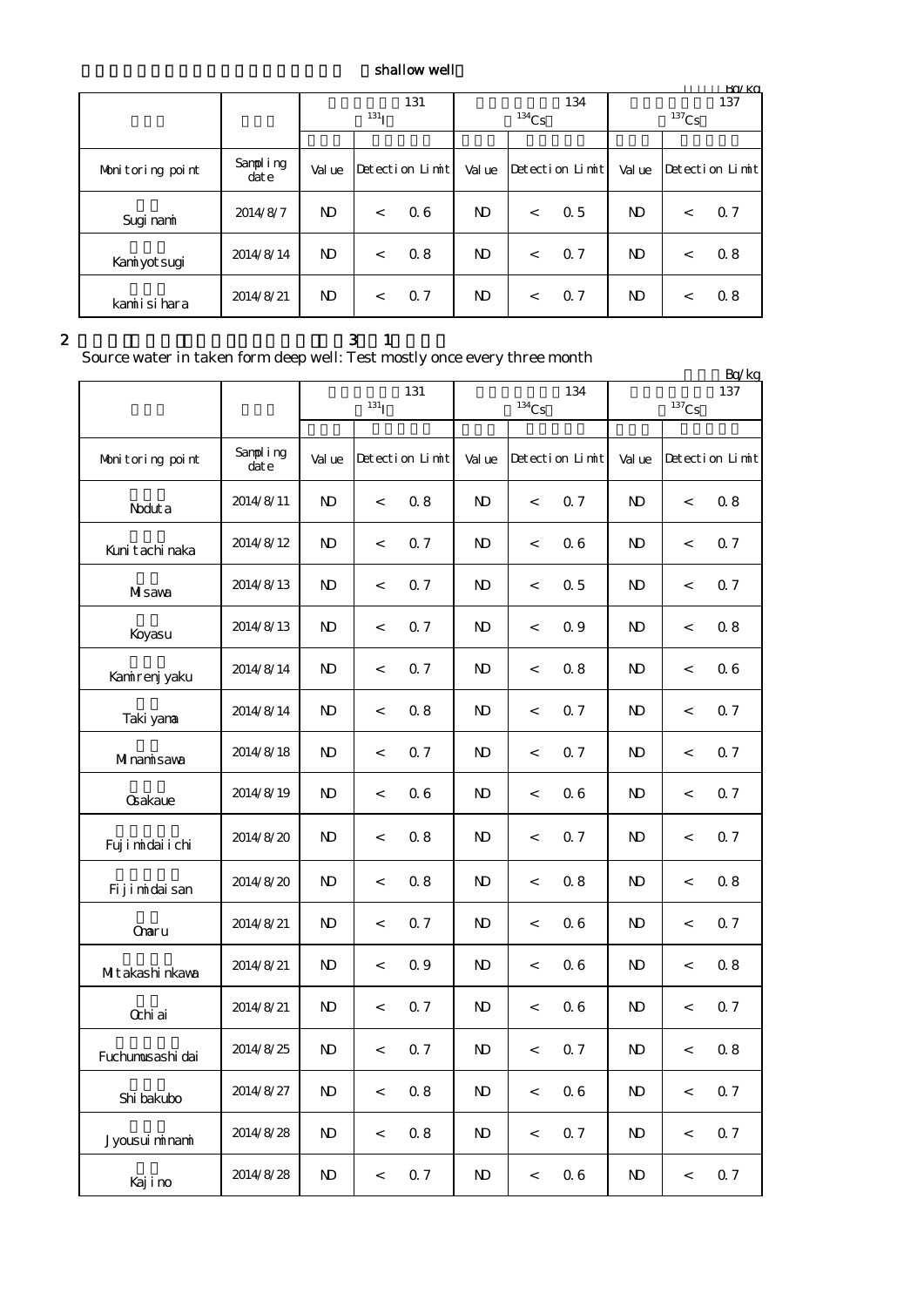## shallow well

|                  |                   | 131              |       |                 |                |          | 134             | 137                   |         |                 |  |
|------------------|-------------------|------------------|-------|-----------------|----------------|----------|-----------------|-----------------------|---------|-----------------|--|
|                  |                   | 131 <sub>T</sub> |       |                 |                | $134$ Cs |                 | ${}^{137}\mathrm{Cs}$ |         |                 |  |
|                  |                   |                  |       |                 |                |          |                 |                       |         |                 |  |
| Monitoring point | Sampling<br>dat e | Val ue           |       | Detection Limit | Val ue         |          | Detection Limit | Val ue                |         | Detection Limit |  |
| Sugi nami        | 2014/8/7          | N <sub>D</sub>   | $\lt$ | 06              | N <sub>D</sub> | $\,<\,$  | 0.5             | N <sub>D</sub>        | $\,<\,$ | 0.7             |  |
| Kaniyotsugi      | 2014/8/14         | N <sub>D</sub>   | $\lt$ | 0.8             | ND.            | $\,<\,$  | 0.7             | N)                    | $\,<\,$ | 0.8             |  |
| kamiisihara      | 2014/8/21         | N <sub>D</sub>   | $\lt$ | 0.7             | ND.            | $\lt$    | 0.7             | N)                    | $\lt$   | 0.8             |  |

 $2 \t 3 \t 1$ 

Source water in taken form deep well: Test mostly once every three month

|                  | $$ c.f. $\pm$ c.f. $$ c.f. $\pm$ |                         |            |                 |              |                     |                 |                |          | Bq/kg           |  |  |
|------------------|----------------------------------|-------------------------|------------|-----------------|--------------|---------------------|-----------------|----------------|----------|-----------------|--|--|
|                  |                                  |                         | $^{131}$ I | 131             |              | $^{134}\mathrm{Cs}$ | 134             |                | $137$ Cs | 137             |  |  |
| Monitoring point | Sampling<br>dat e                | Val ue                  |            | Detection Limit | Val ue       |                     | Detection Limit | Val ue         |          | Detection Limit |  |  |
| Noduta           | 2014/8/11                        | $\mathbf{D}$            | $\,<\,$    | 0.8             | ND.          | $\,<\,$             | 0.7             | N <sub>D</sub> | $\,<\,$  | 0.8             |  |  |
| Kunit achi naka  | 2014/8/12                        | $\mathbf{D}$            | $\,<\,$    | 0.7             | ND.          | $\,<$               | 06              | N <sub>D</sub> | $\,<$    | 0.7             |  |  |
| Misawa           | 2014/8/13                        | ND                      | $\,<\,$    | 0.7             | ND.          | $\,<$               | 0.5             | N)             | $\,<$    | 0.7             |  |  |
| Koyasu           | 2014/8/13                        | $\mathbf{N} \mathbf{D}$ | $\,<\,$    | 0.7             | ND.          | $\,<$               | 0.9             | N <sub>D</sub> | $\,<$    | 0.8             |  |  |
| Kanirenj yaku    | 2014/8/14                        | $\mathbf{D}$            | $\,<\,$    | 0.7             | ND.          | $\,<$               | 0.8             | N)             | $\,<$    | 06              |  |  |
| Taki yana        | 2014/8/14                        | $\mathbf{D}$            | $\,<\,$    | 0.8             | $\mathbf{N}$ | $\,<$               | 0.7             | N <sub>D</sub> | $\,<$    | 0.7             |  |  |
| Minamisawa       | 2014/8/18                        | $\mathbf{D}$            | $\,<\,$    | 0.7             | ND.          | $\,<\,$             | 0.7             | $\mathbf{D}$   | $\,<$    | 0.7             |  |  |
| <b>Gakaue</b>    | 2014/8/19                        | $\mathbf{D}$            | $\,<\,$    | 06              | ND.          | $\,<$               | 06              | N)             | $\,<$    | 0.7             |  |  |
| Fujimidai i chi  | 2014/8/20                        | $\mathbf{D}$            | $\,<\,$    | 0.8             | ND.          | $\,<$               | 0.7             | ND             | $\,<$    | 0.7             |  |  |
| Fijimidaisan     | 2014/8/20                        | $\mathbf{D}$            | $\,<\,$    | 0.8             | ND.          | $\,<$               | 0.8             | N)             | $\,<$    | 0.8             |  |  |
| Onaru            | 2014/8/21                        | $\mathbf{D}$            | $\,<\,$    | 0.7             | ND.          | $\,<$               | 06              | N <sub>D</sub> | $\,<$    | 0.7             |  |  |
| MIt akashi nkava | 2014/8/21                        | $\mathbf{D}$            | $\,<\,$    | 0.9             | ND.          | $\,<$               | 06              | ND             | $\,<$    | 0.8             |  |  |
| Ochi ai          | 2014/8/21                        | $\mathbf{D}$            | $\,<\,$    | 0.7             | ND.          | $\,<$               | 06              | N <sub>D</sub> | $\,<$    | 0.7             |  |  |
| Fuchumusashi dai | 2014/8/25                        | ND                      | $\,<\,$    | 0.7             | $\mathbf{N}$ | $\,<$               | 0.7             | $\mathbf{D}$   | $\,<$    | 0.8             |  |  |
| Shi bakubo       | 2014/8/27                        | $\mathbf{N}$            | $\,<\,$    | $0.8\,$         | $\mathbf{N}$ | $\,<$               | $0\;6$          | $\mathbf{N}$   | $\,<$    | 0.7             |  |  |
| Jyousui minami   | 2014/8/28                        | N)                      | $\,<\,$    | 0.8             | N)           | $\,<$               | 0.7             | N)             | $\,<$    | 0.7             |  |  |
| Kajino           | 2014/8/28                        | N)                      | $\,<$      | 0.7             | $\mathbf{D}$ | $\,<$               | 06              | N)             | $\,<$    | 0.7             |  |  |